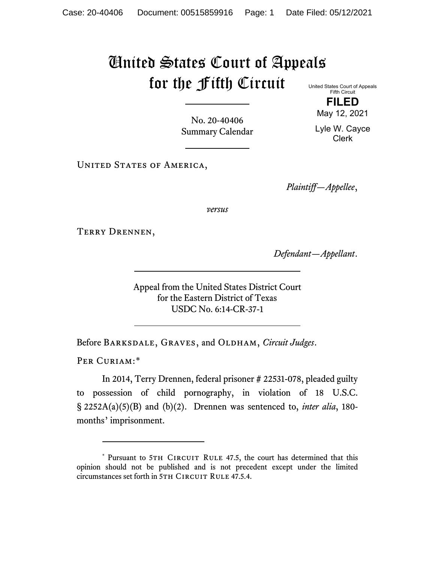## United States Court of Appeals for the Fifth Circuit United States Court of Appeals

Fifth Circuit **FILED** May 12, 2021

Lyle W. Cayce Clerk

No. 20-40406 Summary Calendar

UNITED STATES OF AMERICA,

*Plaintiff—Appellee*,

*versus*

Terry Drennen,

*Defendant—Appellant*.

Appeal from the United States District Court for the Eastern District of Texas USDC No. 6:14-CR-37-1

Before Barksdale, Graves, and Oldham, *Circuit Judges*.

PER CURIAM:[\\*](#page-0-0)

In 2014, Terry Drennen, federal prisoner # 22531-078, pleaded guilty to possession of child pornography, in violation of 18 U.S.C. § 2252A(a)(5)(B) and (b)(2). Drennen was sentenced to, *inter alia*, 180 months' imprisonment.

<span id="page-0-0"></span><sup>\*</sup> Pursuant to 5TH CIRCUIT RULE 47.5, the court has determined that this opinion should not be published and is not precedent except under the limited circumstances set forth in 5TH CIRCUIT RULE 47.5.4.